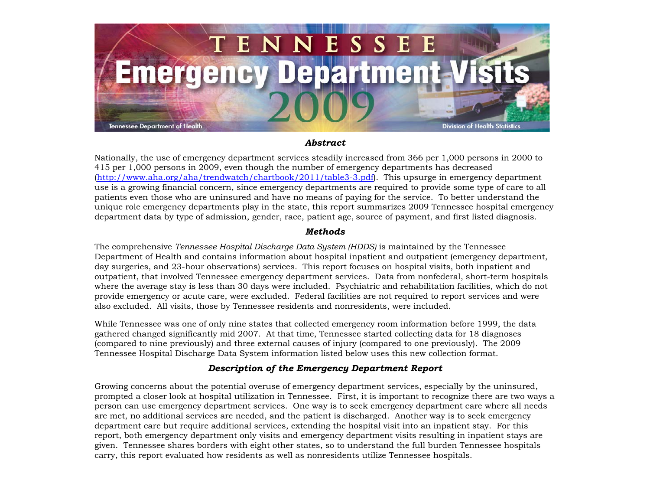

## *Abstract*

Nationally, the use of emergency department services steadily increased from 366 per 1,000 persons in 2000 to 415 per 1,000 persons in 2009, even though the number of emergency departments has decreased (<http://www.aha.org/aha/trendwatch/chartbook/2011/table3-3.pdf>). This upsurge in emergency department use is a growing financial concern, since emergency departments are required to provide some type of care to all patients even those who are uninsured and have no means of paying for the service. To better understand the unique role emergency departments play in the state, this report summarizes 2009 Tennessee hospital emergency department data by type of admission, gender, race, patient age, source of payment, and first listed diagnosis.

## *Methods*

The comprehensive *Tennessee Hospital Discharge Data System (HDDS)* is maintained by the Tennessee Department of Health and contains information about hospital inpatient and outpatient (emergency department, day surgeries, and 23-hour observations) services. This report focuses on hospital visits, both inpatient and outpatient, that involved Tennessee emergency department services. Data from nonfederal, short-term hospitals where the average stay is less than 30 days were included. Psychiatric and rehabilitation facilities, which do not provide emergency or acute care, were excluded. Federal facilities are not required to report services and were also excluded. All visits, those by Tennessee residents and nonresidents, were included.

While Tennessee was one of only nine states that collected emergency room information before 1999, the data gathered changed significantly mid 2007. At that time, Tennessee started collecting data for 18 diagnoses (compared to nine previously) and three external causes of injury (compared to one previously). The 2009 Tennessee Hospital Discharge Data System information listed below uses this new collection format.

## *Description of the Emergency Department Report*

Growing concerns about the potential overuse of emergency department services, especially by the uninsured, prompted a closer look at hospital utilization in Tennessee. First, it is important to recognize there are two ways a person can use emergency department services. One way is to seek emergency department care where all needs are met, no additional services are needed, and the patient is discharged. Another way is to seek emergency department care but require additional services, extending the hospital visit into an inpatient stay. For this report, both emergency department only visits and emergency department visits resulting in inpatient stays are given. Tennessee shares borders with eight other states, so to understand the full burden Tennessee hospitals carry, this report evaluated how residents as well as nonresidents utilize Tennessee hospitals.